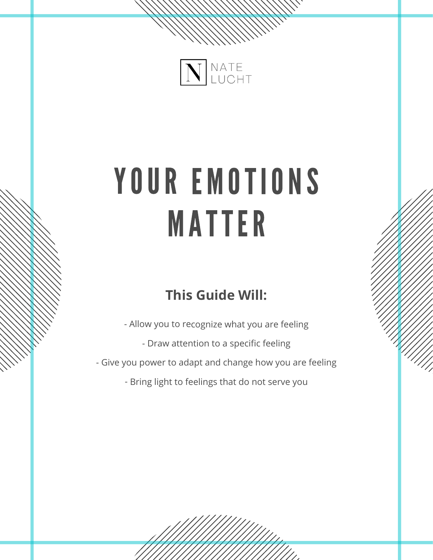

# YOUR EMOTIONS MATTER

# **This Guide Will:**

- Allow you to recognize what you are feeling

- Draw attention to <sup>a</sup> specific feeling

- Give you power to adapt and change how you are feeling

- Bring light to feelings that do not serve you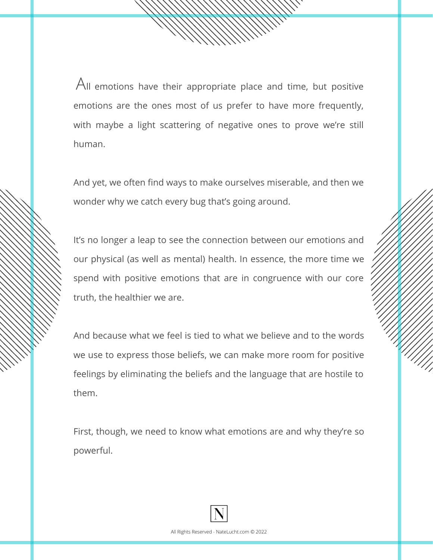${\mathsf A}_{{\mathsf N}}$  [emotions](https://liveboldandbloom.com/04/self-improvement/ultimate-list-emotions) have their appropriate place and time, but positive emotions are the ones most of us prefer to have more frequently, with maybe <sup>a</sup> light scattering of negative ones to prove we're still human.

And yet, we often find ways to make ourselves miserable, and then we wonder why we catch every bug that's going around.

It's no longer <sup>a</sup> leap to see the connection between our emotions and our physical (as well as mental) health. In essence, the more time we spend with positive emotions that are in congruence with our core truth, the healthier we are.

And because what we feel is tied to what we believe and to the words we use to express those beliefs, we can make more room for positive feelings by eliminating the beliefs and the language that are hostile to them.

First, though, we need to know what emotions are and why they're so powerful.

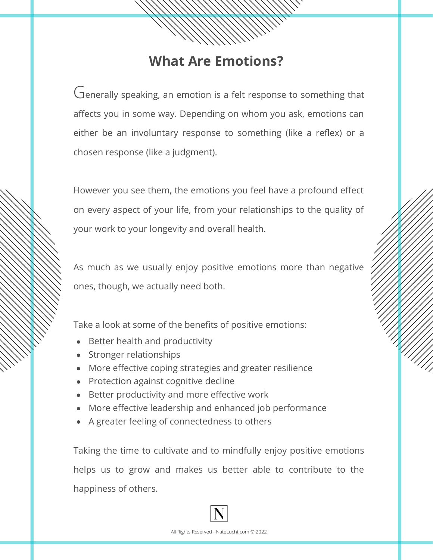## **What Are Emotions?**

Generally speaking, an emotion is a felt response to something that affects you in some way. Depending on whom you ask, emotions can either be an involuntary response to something (like <sup>a</sup> reflex) or <sup>a</sup> chosen response (like <sup>a</sup> judgment).

However you see them, the emotions you feel have <sup>a</sup> profound effect on every aspect of your life, from your relationships to the quality of your work to your longevity and overall health.

As much as we usually enjoy positive emotions more than negative ones, though, we actually need both.

Take <sup>a</sup> look at some of the benefits of positive emotions:

- Better health and productivity
- Stronger relationships
- More effective coping strategies and greater resilience
- Protection against cognitive decline
- Better productivity and more effective work
- More effective leadership and enhanced job performance
- A greater feeling of connectedness to others

Taking the time to cultivate and to [mindfully](https://liveboldandbloom.com/11/mindfulness/how-to-practice-mindfulness) enjoy positive emotions helps us to grow and makes us better able to contribute to the happiness of others.

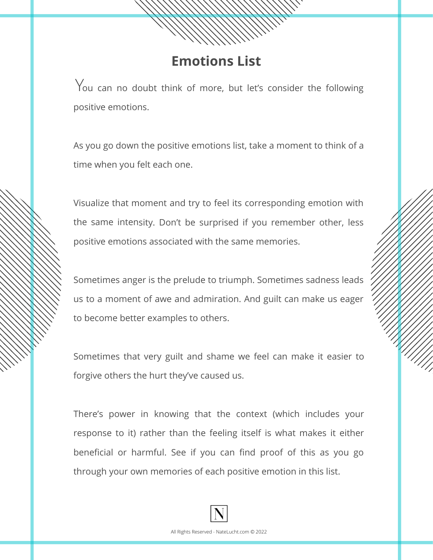#### **Emotions List**

 $\rm \, V$ ou can no doubt think of more, but let's consider the following positive emotions.

As you go down the positive emotions list, take <sup>a</sup> moment to think of <sup>a</sup> time when you felt each one.

Visualize that moment and try to feel its corresponding emotion with the same intensity. Don't be surprised if you remember other, less positive emotions associated with the same memories.

Sometimes anger is the prelude to triumph. Sometimes sadness leads us to <sup>a</sup> moment of awe and admiration. And guilt can make us eager to become better examples to others.

Sometimes that very guilt and shame we feel can make it easier to forgive others the hurt they've caused us.

There's power in knowing that the context (which includes your response to it) rather than the feeling itself is what makes it either beneficial or harmful. See if you can find proof of this as you go through your own memories of each positive emotion in this list.

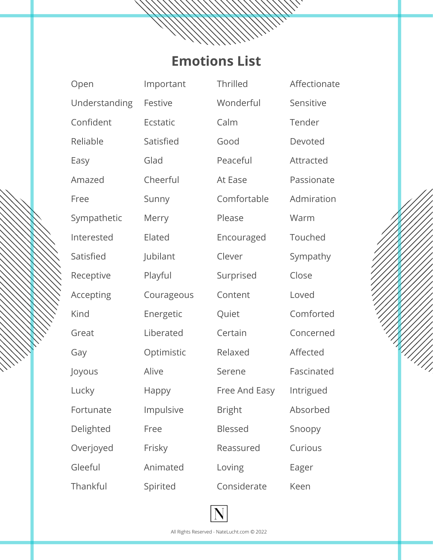### **Emotions List**

Open Understanding Confident Reliable Easy Amazed Free Sympathetic Interested Satisfied Receptive Accepting Kind Great Gay Joyous Lucky Fortunate Delighted Overjoyed Gleeful **Thankful** 

Important Festive **Ecstatic** Satisfied Glad Cheerful Sunny Merry Elated Jubilant Playful Courageous Energetic Liberated Optimistic Alive Happy Impulsive Free Frisky Animated Spirited

**Thrilled** Wonderful Calm Good Peaceful At Ease Comfortable Please Encouraged Clever Surprised Content Quiet Certain Relaxed Serene Free And Easy Bright Blessed Reassured Loving Considerate

Sensitive Tender Devoted Attracted Passionate Admiration Warm Touched Sympathy Close Loved Comforted Concerned Affected Fascinated Intrigued Absorbed Snoopy Curious Eager Keen

Affectionate

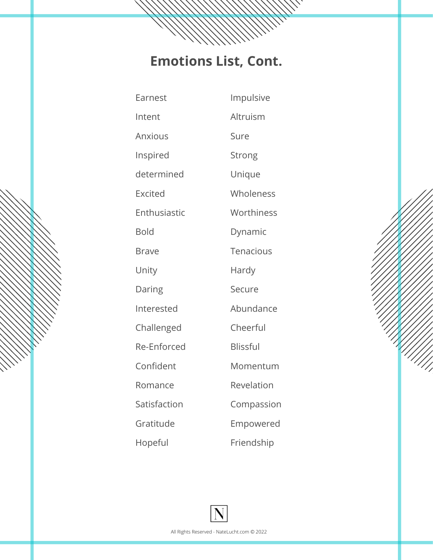# **Emotions List, Cont.**

| Earnest        | Impulsive       |
|----------------|-----------------|
| Intent         | Altruism        |
| <b>Anxious</b> | Sure            |
| Inspired       | Strong          |
| determined     | Unique          |
| <b>Excited</b> | Wholeness       |
| Enthusiastic   | Worthiness      |
| <b>Bold</b>    | Dynamic         |
| <b>Brave</b>   | Tenacious       |
| Unity          | Hardy           |
| Daring         | Secure          |
| Interested     | Abundance       |
| Challenged     | Cheerful        |
| Re-Enforced    | <b>Blissful</b> |
| Confident      | Momentum        |
| Romance        | Revelation      |
| Satisfaction   | Compassion      |
| Gratitude      | Empowered       |
| Hopeful        | Friendship      |

||||||<br>|

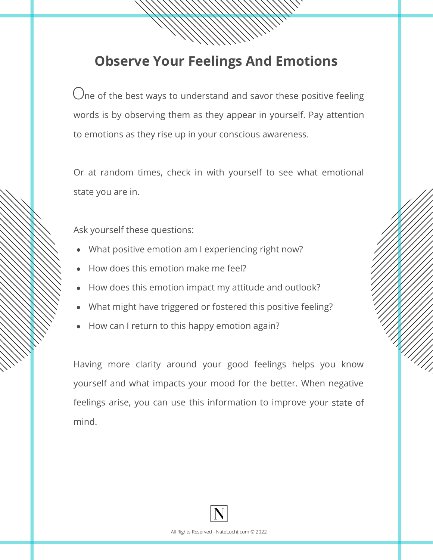## **Observe Your Feelings And Emotions**

 $\bigcirc$  of the best ways to understand and savor these positive feeling words is by observing them as they appear in yourself. Pay attention to emotions as they rise up in your conscious awareness.

Or at random times, check in with yourself to see what emotional state you are in.

Ask yourself these questions:

- What positive emotion am I experiencing right now?
- How does this emotion make me feel?
- How does this emotion impact my attitude and outlook?
- What might have triggered or fostered this positive feeling?
- How can I return to this happy emotion again?

Having more clarity around your good feelings helps you know yourself and what impacts your mood for the better. When negative feelings arise, you can use this information to improve your state of mind.

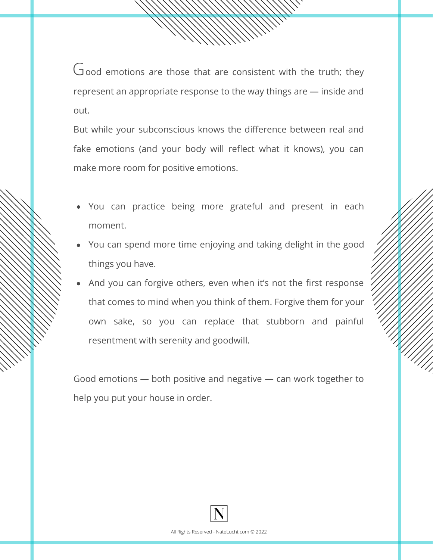$Good$  emotions are those that are consistent with the truth; they represent an appropriate response to the way things are — inside and out.

But while your subconscious knows the difference between real and fake emotions (and your body will reflect what it knows), you can make more room for positive emotions.

- You can practice being more grateful and present in each moment.
- You can spend more time enjoying and taking delight in the good things you have.
- And you can forgive others, even when it's not the first response that comes to mind when you think of them. Forgive them for your own sake, so you can replace that stubborn and painful resentment with serenity and goodwill.

Good emotions — both pos[itive](https://liveboldandbloom.com/10/quotes/calming-positive-affirmations-anxiety) and negative — can work together to help you put your house in order.